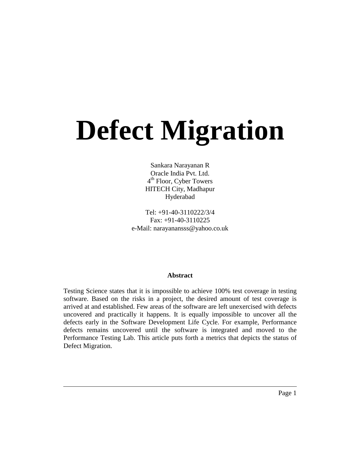# **Defect Migration**

Sankara Narayanan R Oracle India Pvt. Ltd. 4<sup>th</sup> Floor, Cyber Towers HITECH City, Madhapur Hyderabad

Tel: +91-40-3110222/3/4 Fax: +91-40-3110225 e-Mail: narayanansss@yahoo.co.uk

#### **Abstract**

Testing Science states that it is impossible to achieve 100% test coverage in testing software. Based on the risks in a project, the desired amount of test coverage is arrived at and established. Few areas of the software are left unexercised with defects uncovered and practically it happens. It is equally impossible to uncover all the defects early in the Software Development Life Cycle. For example, Performance defects remains uncovered until the software is integrated and moved to the Performance Testing Lab. This article puts forth a metrics that depicts the status of Defect Migration.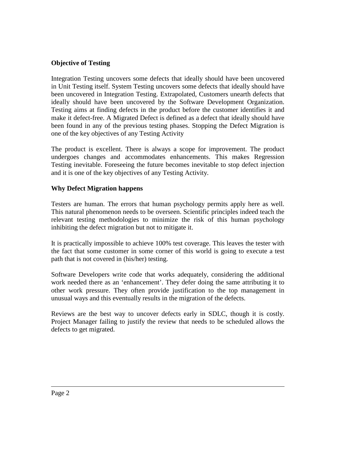#### **Objective of Testing**

Integration Testing uncovers some defects that ideally should have been uncovered in Unit Testing itself. System Testing uncovers some defects that ideally should have been uncovered in Integration Testing. Extrapolated, Customers unearth defects that ideally should have been uncovered by the Software Development Organization. Testing aims at finding defects in the product before the customer identifies it and make it defect-free. A Migrated Defect is defined as a defect that ideally should have been found in any of the previous testing phases. Stopping the Defect Migration is one of the key objectives of any Testing Activity

The product is excellent. There is always a scope for improvement. The product undergoes changes and accommodates enhancements. This makes Regression Testing inevitable. Foreseeing the future becomes inevitable to stop defect injection and it is one of the key objectives of any Testing Activity.

#### **Why Defect Migration happens**

Testers are human. The errors that human psychology permits apply here as well. This natural phenomenon needs to be overseen. Scientific principles indeed teach the relevant testing methodologies to minimize the risk of this human psychology inhibiting the defect migration but not to mitigate it.

It is practically impossible to achieve 100% test coverage. This leaves the tester with the fact that some customer in some corner of this world is going to execute a test path that is not covered in (his/her) testing.

Software Developers write code that works adequately, considering the additional work needed there as an 'enhancement'. They defer doing the same attributing it to other work pressure. They often provide justification to the top management in unusual ways and this eventually results in the migration of the defects.

Reviews are the best way to uncover defects early in SDLC, though it is costly. Project Manager failing to justify the review that needs to be scheduled allows the defects to get migrated.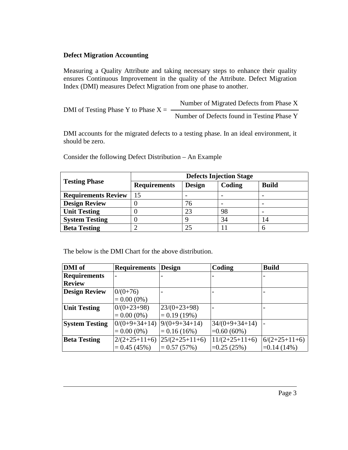#### **Defect Migration Accounting**

Measuring a Quality Attribute and taking necessary steps to enhance their quality ensures Continuous Improvement in the quality of the Attribute. Defect Migration Index (DMI) measures Defect Migration from one phase to another.

| DMI of Testing Phase Y to Phase $X =$ | Number of Migrated Defects from Phase X    |
|---------------------------------------|--------------------------------------------|
|                                       | Number of Defects found in Testing Phase Y |

DMI accounts for the migrated defects to a testing phase. In an ideal environment, it should be zero.

Consider the following Defect Distribution – An Example

| <b>Testing Phase</b>       | <b>Defects Injection Stage</b> |               |                          |                          |  |
|----------------------------|--------------------------------|---------------|--------------------------|--------------------------|--|
|                            | <b>Requirements</b>            | <b>Design</b> | Coding                   | <b>Build</b>             |  |
| <b>Requirements Review</b> | 15                             |               |                          |                          |  |
| <b>Design Review</b>       |                                | 76            | $\overline{\phantom{0}}$ | $\overline{\phantom{0}}$ |  |
| <b>Unit Testing</b>        |                                | 23            | 98                       | $\overline{\phantom{0}}$ |  |
| <b>System Testing</b>      |                                |               | 34                       |                          |  |
| <b>Beta Testing</b>        |                                | 25            |                          |                          |  |

The below is the DMI Chart for the above distribution.

| DMI of                | <b>Requirements</b>      | <b>Design</b>    | Coding           | <b>Build</b>    |
|-----------------------|--------------------------|------------------|------------------|-----------------|
| <b>Requirements</b>   | $\overline{\phantom{0}}$ |                  |                  |                 |
| <b>Review</b>         |                          |                  |                  |                 |
| <b>Design Review</b>  | $0/(0+76)$               |                  |                  |                 |
|                       | $= 0.00(0\%)$            |                  |                  |                 |
| <b>Unit Testing</b>   | $0/(0+23+98)$            | $23/(0+23+98)$   |                  |                 |
|                       | $= 0.00(0\%)$            | $= 0.19(19\%)$   |                  |                 |
| <b>System Testing</b> | $0/(0+9+34+14)$          | $9/(0+9+34+14)$  | $34/(0+9+34+14)$ |                 |
|                       | $= 0.00(0\%)$            | $= 0.16(16\%)$   | $=0.60(60\%)$    |                 |
| <b>Beta Testing</b>   | $2/(2+25+11+6)$          | $25/(2+25+11+6)$ | $11/(2+25+11+6)$ | $6/(2+25+11+6)$ |
|                       | $= 0.45(45%)$            | $= 0.57(57%)$    | $=0.25(25%)$     | $=0.14(14\%)$   |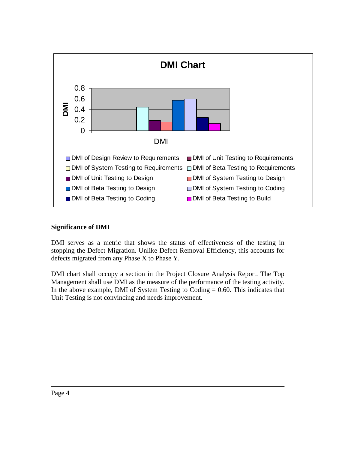

#### **Significance of DMI**

DMI serves as a metric that shows the status of effectiveness of the testing in stopping the Defect Migration. Unlike Defect Removal Efficiency, this accounts for defects migrated from any Phase X to Phase Y.

DMI chart shall occupy a section in the Project Closure Analysis Report. The Top Management shall use DMI as the measure of the performance of the testing activity. In the above example, DMI of System Testing to Coding  $= 0.60$ . This indicates that Unit Testing is not convincing and needs improvement.